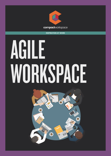

### **INSPIRATION AT WORK**

## AGILE WORKSPACE

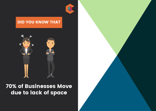

### DID YOU KNOW THAT



## 70% of Businesses Move due to lack of space

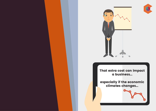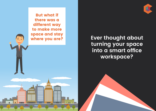But what if there was a different way to make more space and stay<br>where you are?

 $\overline{\circ}$ 

THE

 $\bullet$   $\bullet$ 

 $\overline{\bullet\bullet}$ 

**Ever thought about turning your space into a smart office workspace?**

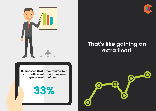

Businesses that have moved to a smart office solution have seen space saving of over...

33%

## **That's like gaining an extra floor!**



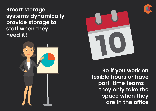**Smart storage systems dynamically provide storage to staff when they need it!**







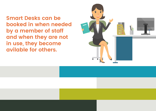**Smart Desks can be booked in when needed by a member of staff and when they are not in use, they become avilable for others.**

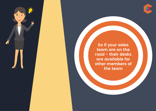

**So if your sales team are on the road - their desks are available for other members of the team** 

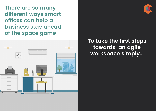**There are so many different ways smart offices can help a business stay ahead of the space game**



**To take the first steps towards an agile workspace simply...**

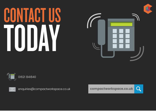# CONTACT US TODAY





compactworkspace.co.uk



01621 841840



enquiries@compactworkspace.co.uk